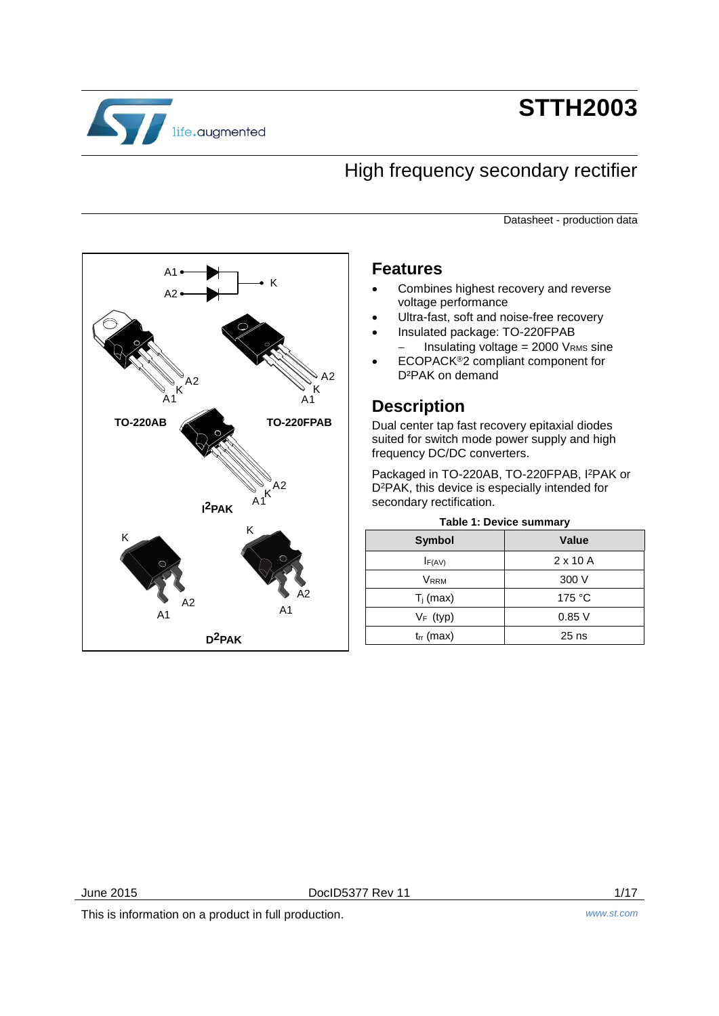

# **STTH2003**

# High frequency secondary rectifier

Datasheet - production data



# **Features**

- Combines highest recovery and reverse voltage performance
- Ultra-fast, soft and noise-free recovery
- Insulated package: TO-220FPAB  $-$  Insulating voltage = 2000 VRMS sine
- ECOPACK®2 compliant component for D²PAK on demand

# **Description**

Dual center tap fast recovery epitaxial diodes suited for switch mode power supply and high frequency DC/DC converters.

Packaged in TO-220AB, TO-220FPAB, I<sup>2</sup>PAK or D<sup>2</sup>PAK, this device is especially intended for secondary rectification.

<span id="page-0-0"></span>

| <b>Value</b>    |  |  |  |  |
|-----------------|--|--|--|--|
| $2 \times 10$ A |  |  |  |  |
| 300 V           |  |  |  |  |
| 175 °C          |  |  |  |  |
| 0.85V           |  |  |  |  |
| $25$ ns         |  |  |  |  |
|                 |  |  |  |  |

## **Table 1: Device summary**

June 2015 **DociD5377 Rev 11 DociD5377 Rev 11 1/17** 

This is information on a product in full production. *www.st.com*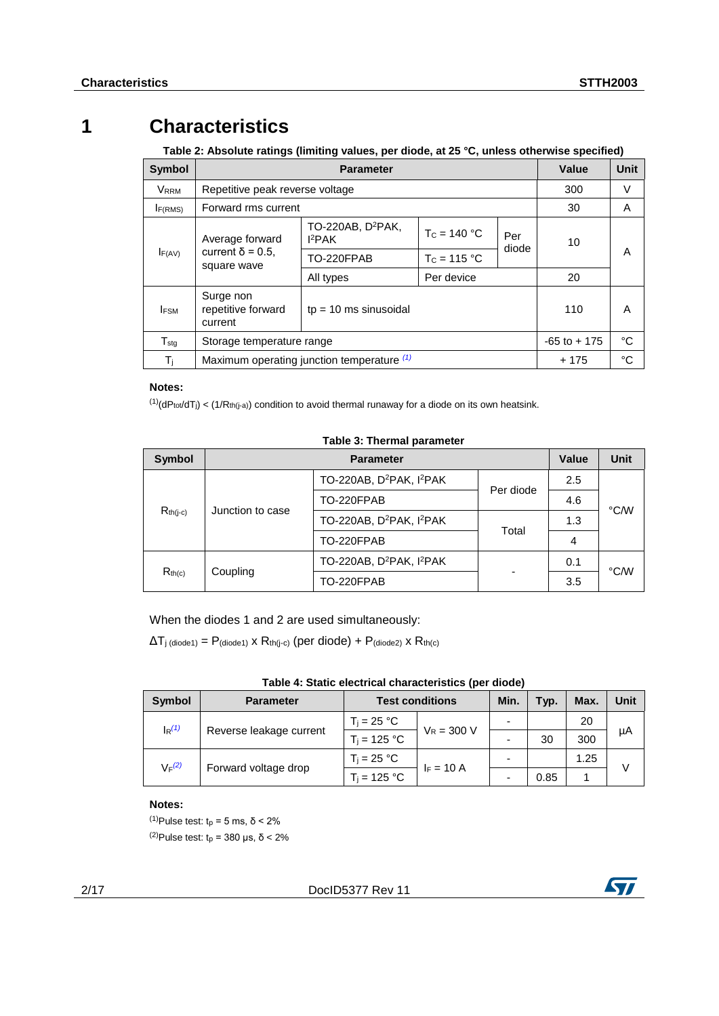# **1 Characteristics**

<span id="page-1-3"></span>**Table 2: Absolute ratings (limiting values, per diode, at 25 °C, unless otherwise specified)**

| <b>Symbol</b>       |                                            |                                            | Value          | Unit         |                 |    |
|---------------------|--------------------------------------------|--------------------------------------------|----------------|--------------|-----------------|----|
| <b>VRRM</b>         | Repetitive peak reverse voltage            |                                            | 300            | V            |                 |    |
| I <sub>F(RMS)</sub> | Forward rms current                        |                                            |                |              | 30              | A  |
|                     | Average forward                            | TO-220AB, D <sup>2</sup> PAK,<br>$I^2$ PAK | $T_c = 140 °C$ | Per<br>diode | 10              |    |
| F(AV)               | current $\delta$ = 0.5.<br>square wave     | TO-220FPAB                                 | $T_c = 115 °C$ |              |                 | А  |
|                     |                                            | All types                                  | Per device     |              | 20              |    |
| <b>IFSM</b>         | Surge non<br>repetitive forward<br>current | $tp = 10$ ms sinusoidal                    |                |              | 110             | A  |
| $T_{\text{stg}}$    |                                            | Storage temperature range                  |                |              | $-65$ to $+175$ | °C |
| Τj                  |                                            | Maximum operating junction temperature (1) |                |              | $+175$          | °C |

## **Notes:**

<span id="page-1-0"></span> $^{(1)}$ (dPtot/dTj) < (1/Rth(j-a)) condition to avoid thermal runaway for a diode on its own heatsink.

### **Table 3: Thermal parameter**

| <b>Symbol</b>      |                  | <b>Parameter</b>                                 |           |     |      |  |
|--------------------|------------------|--------------------------------------------------|-----------|-----|------|--|
|                    |                  | TO-220AB, D <sup>2</sup> PAK, I <sup>2</sup> PAK | Per diode | 2.5 |      |  |
| $R_{th(i-c)}$      | Junction to case | TO-220FPAB                                       |           | 4.6 | °C/W |  |
|                    |                  | TO-220AB, D <sup>2</sup> PAK, I <sup>2</sup> PAK | Total     | 1.3 |      |  |
|                    |                  | TO-220FPAB                                       |           | 4   |      |  |
|                    |                  | TO-220AB, D <sup>2</sup> PAK, I <sup>2</sup> PAK |           | 0.1 |      |  |
| R <sub>th(c)</sub> | Coupling         | TO-220FPAB                                       |           | 3.5 | °C/W |  |

When the diodes 1 and 2 are used simultaneously:

 $\Delta T_{\text{j (diode1)}} = P_{\text{(diode1)}} \times R_{\text{th(j-c)}}$  (per diode) +  $P_{\text{(diode2)}} \times R_{\text{th(c)}}$ 

| Table 4: Static electrical characteristics (per diode) |  |  |  |
|--------------------------------------------------------|--|--|--|
|--------------------------------------------------------|--|--|--|

| <b>Symbol</b>                   | <b>Parameter</b>        | <b>Test conditions</b> |               | Min. | Typ. | Max. | Unit |
|---------------------------------|-------------------------|------------------------|---------------|------|------|------|------|
| $\mathsf{I}_{\mathsf{R}}^{(1)}$ | $T_i = 25 °C$           |                        |               |      |      | 20   |      |
|                                 | Reverse leakage current | $T_i = 125 °C$         | $V_R = 300 V$ | -    | 30   | 300  | μA   |
| $V_F(2)$                        | Forward voltage drop    | $T_i = 25 °C$          | $F = 10 A$    | -    |      | 1.25 |      |
|                                 |                         | $T_i = 125 °C$         |               | -    | 0.85 |      |      |

## **Notes:**

<span id="page-1-2"></span><span id="page-1-1"></span>(1)Pulse test: t<sup>p</sup> = 5 ms, δ < 2% <sup>(2)</sup>Pulse test:  $t_p$  = 380 μs, δ < 2%

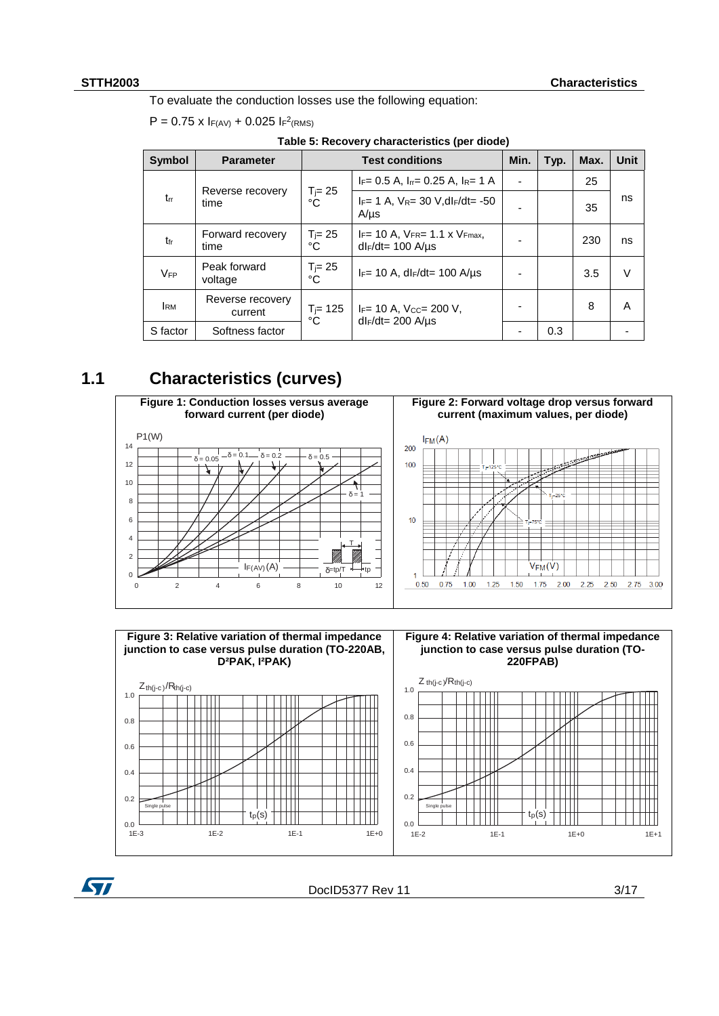**ST** 

To evaluate the conduction losses use the following equation:

|  |  |  | $P = 0.75 \times I_{F(AV)} + 0.025 I_{F}^2$ (RMS) |  |
|--|--|--|---------------------------------------------------|--|
|--|--|--|---------------------------------------------------|--|

|  | Table 5: Recovery characteristics (per diode) |  |
|--|-----------------------------------------------|--|
|--|-----------------------------------------------|--|

| <b>Symbol</b> | <b>Parameter</b>            | <b>Test conditions</b> |                                                                     | Min. | Typ. | Max. | Unit |
|---------------|-----------------------------|------------------------|---------------------------------------------------------------------|------|------|------|------|
|               |                             |                        | $I_F = 0.5$ A, $I_{rr} = 0.25$ A, $I_R = 1$ A                       | ۰    |      | 25   |      |
| $t_{rr}$      | Reverse recovery<br>time    | $T_{j=} 25$<br>°Ċ      | $I_F = 1$ A, $V_R = 30$ V, dl $F/dt = -50$<br>$A/\mu s$             |      |      | 35   | ns   |
| $t_{fr}$      | Forward recovery<br>time    | $T_{\rm j} = 25$<br>°C | $I_F$ = 10 A, $V_{FR}$ = 1.1 x $V_{Fmax}$ ,<br>$dl_F/dt = 100$ A/us |      |      | 230  | ns   |
| VFP           | Peak forward<br>voltage     | $T_j = 25$<br>°Ċ       | $I_F = 10$ A, dl $F/dt = 100$ A/us                                  |      |      | 3.5  | V    |
| <b>IRM</b>    | Reverse recovery<br>current | $T = 125$<br>°C        | $I_F$ = 10 A, Vcc= 200 V,<br>$dl_F/dt = 200$ A/ $\mu$ s             |      |      | 8    | A    |
| S factor      | Softness factor             |                        |                                                                     |      | 0.3  |      |      |

# **1.1 Characteristics (curves)**





DocID5377 Rev 11 3/17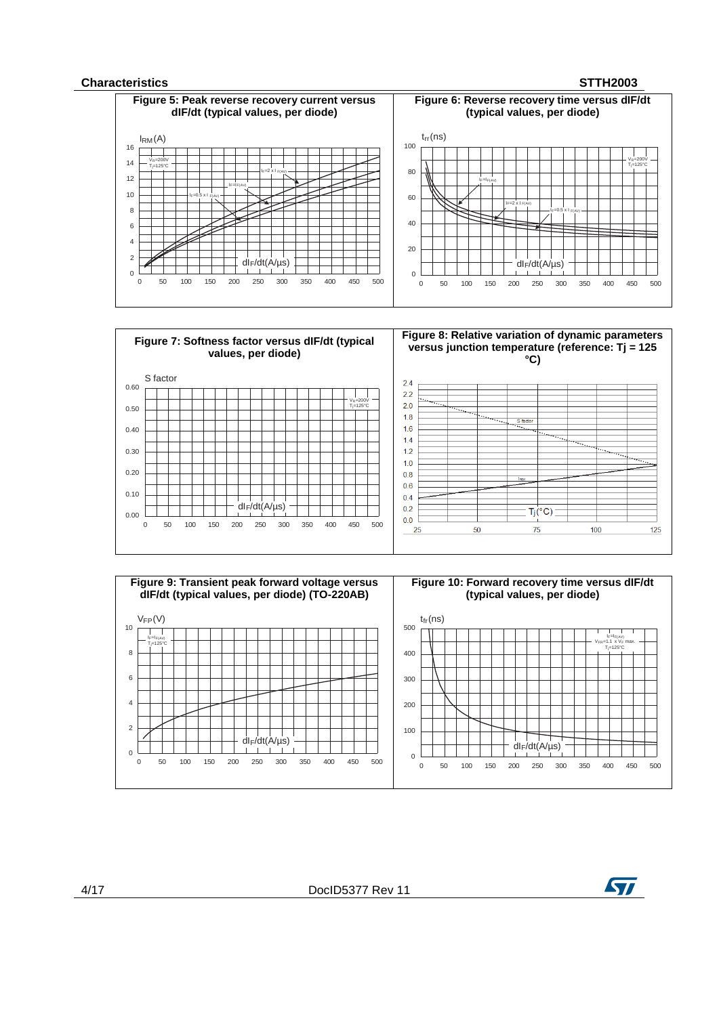### **Characteristics STTH2003**







4/17 DocID5377 Rev 11

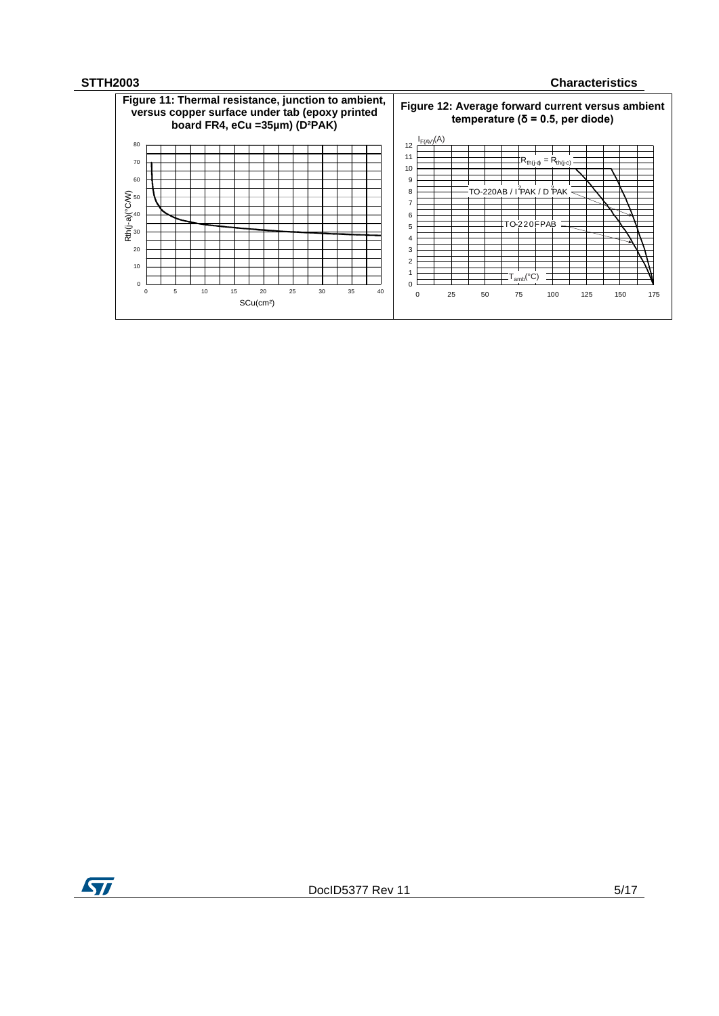## **STTH2003 Characteristics**



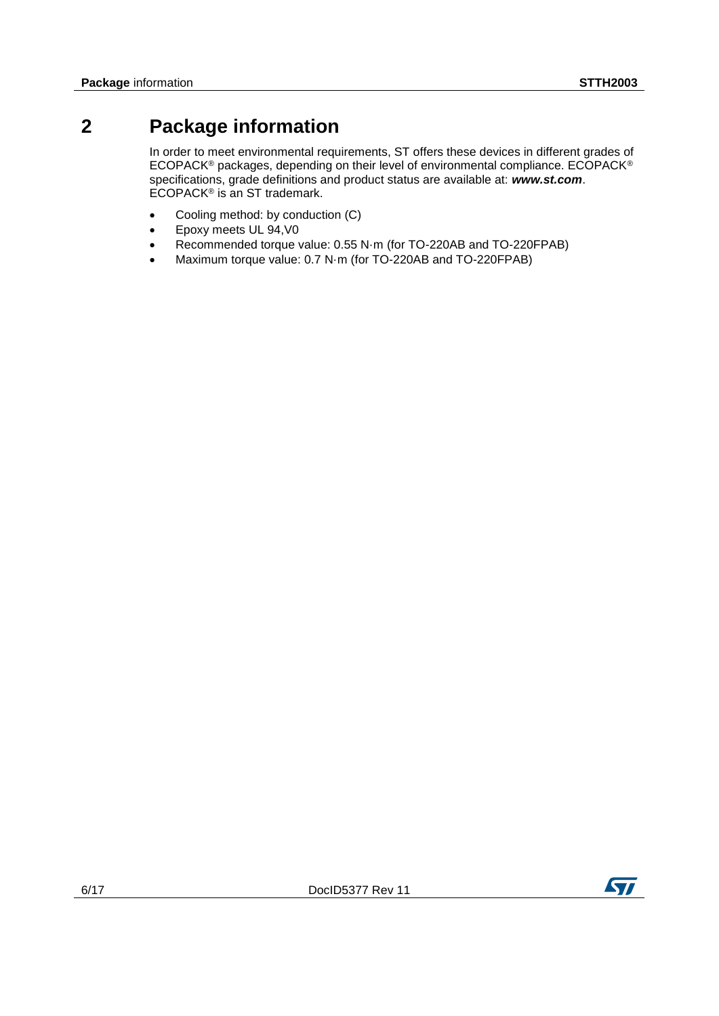# **2 Package information**

In order to meet environmental requirements, ST offers these devices in different grades of ECOPACK® packages, depending on their level of environmental compliance. ECOPACK® specifications, grade definitions and product status are available at: *www.st.com*. ECOPACK® is an ST trademark.

- Cooling method: by conduction (C)
- Epoxy meets UL 94,V0
- Recommended torque value: 0.55 N·m (for TO-220AB and TO-220FPAB)
- Maximum torque value: 0.7 N·m (for TO-220AB and TO-220FPAB)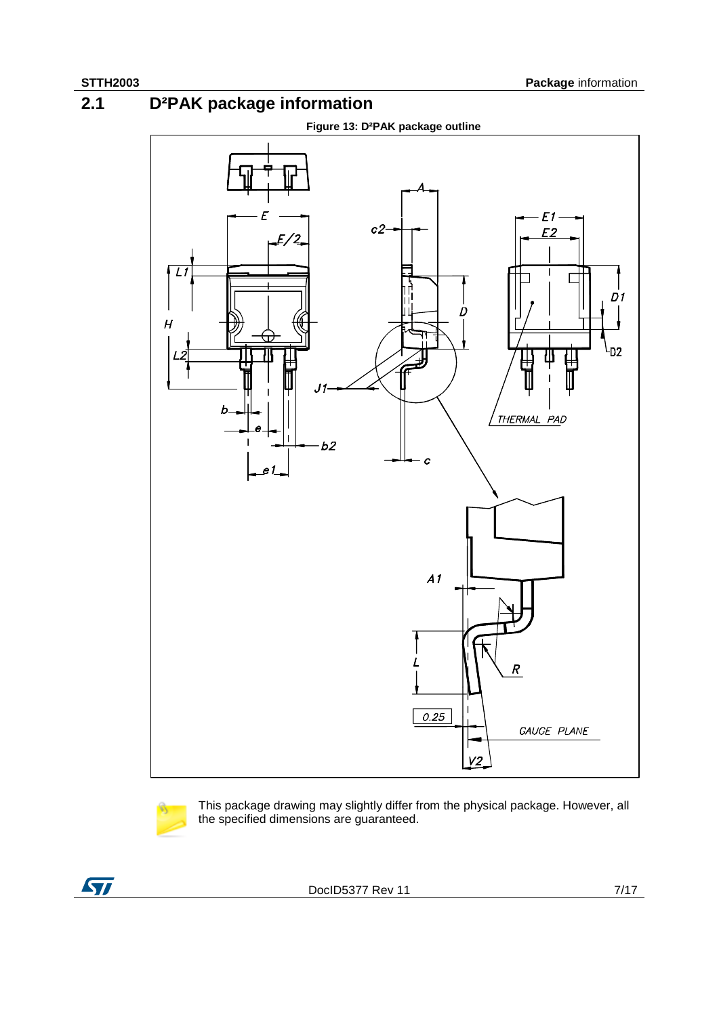**2.1 D²PAK package information**

<span id="page-6-0"></span>



This package drawing may slightly differ from the physical package. However, all the specified dimensions are guaranteed.

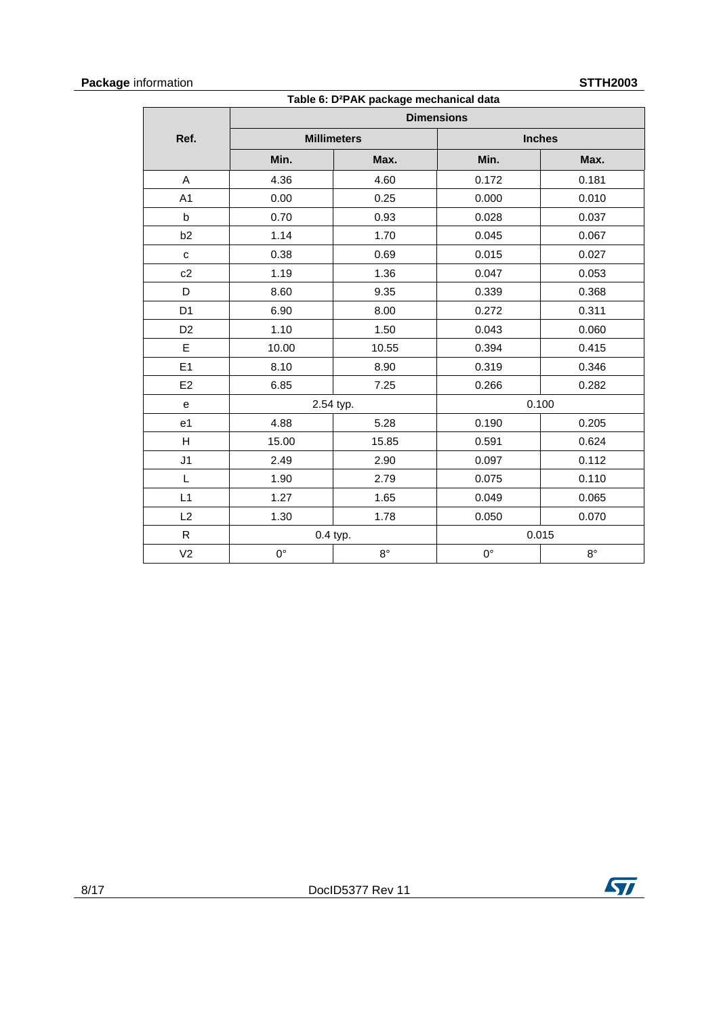# **Package** information **STTH2003**

| <b>IIUIIIIaliUII</b><br>OI I NZUUJ<br>Table 6: D <sup>2</sup> PAK package mechanical data |             |                    |                   |               |  |  |
|-------------------------------------------------------------------------------------------|-------------|--------------------|-------------------|---------------|--|--|
|                                                                                           |             |                    | <b>Dimensions</b> |               |  |  |
| Ref.                                                                                      |             | <b>Millimeters</b> |                   | <b>Inches</b> |  |  |
|                                                                                           | Min.        | Max.               | Min.              | Max.          |  |  |
| A                                                                                         | 4.36        | 4.60               | 0.172             | 0.181         |  |  |
| A <sub>1</sub>                                                                            | 0.00        | 0.25               | 0.000             | 0.010         |  |  |
| b                                                                                         | 0.70        | 0.93               | 0.028             | 0.037         |  |  |
| b2                                                                                        | 1.14        | 1.70               | 0.045             | 0.067         |  |  |
| $\mathbf{C}$                                                                              | 0.38        | 0.69               | 0.015             | 0.027         |  |  |
| c2                                                                                        | 1.19        | 1.36               | 0.047             | 0.053         |  |  |
| D                                                                                         | 8.60        | 9.35               | 0.339             | 0.368         |  |  |
| D <sub>1</sub>                                                                            | 6.90        | 8.00               | 0.272             | 0.311         |  |  |
| D <sub>2</sub>                                                                            | 1.10        | 1.50               | 0.043             | 0.060         |  |  |
| E                                                                                         | 10.00       | 10.55              | 0.394             | 0.415         |  |  |
| E <sub>1</sub>                                                                            | 8.10        | 8.90               | 0.319             | 0.346         |  |  |
| E <sub>2</sub>                                                                            | 6.85        | 7.25               | 0.266             | 0.282         |  |  |
| $\mathbf e$                                                                               |             | 2.54 typ.          | 0.100             |               |  |  |
| e <sub>1</sub>                                                                            | 4.88        | 5.28               | 0.190             | 0.205         |  |  |
| H                                                                                         | 15.00       | 15.85              | 0.591             | 0.624         |  |  |
| J <sub>1</sub>                                                                            | 2.49        | 2.90               | 0.097             | 0.112         |  |  |
| L                                                                                         | 1.90        | 2.79               | 0.075             | 0.110         |  |  |
| L1                                                                                        | 1.27        | 1.65               | 0.049             | 0.065         |  |  |
| L2                                                                                        | 1.30        | 1.78               | 0.050             | 0.070         |  |  |
| R                                                                                         | 0.4 typ.    |                    |                   | 0.015         |  |  |
| V <sub>2</sub>                                                                            | $0^{\circ}$ | $8^{\circ}$        | $0^{\circ}$       | $8^{\circ}$   |  |  |

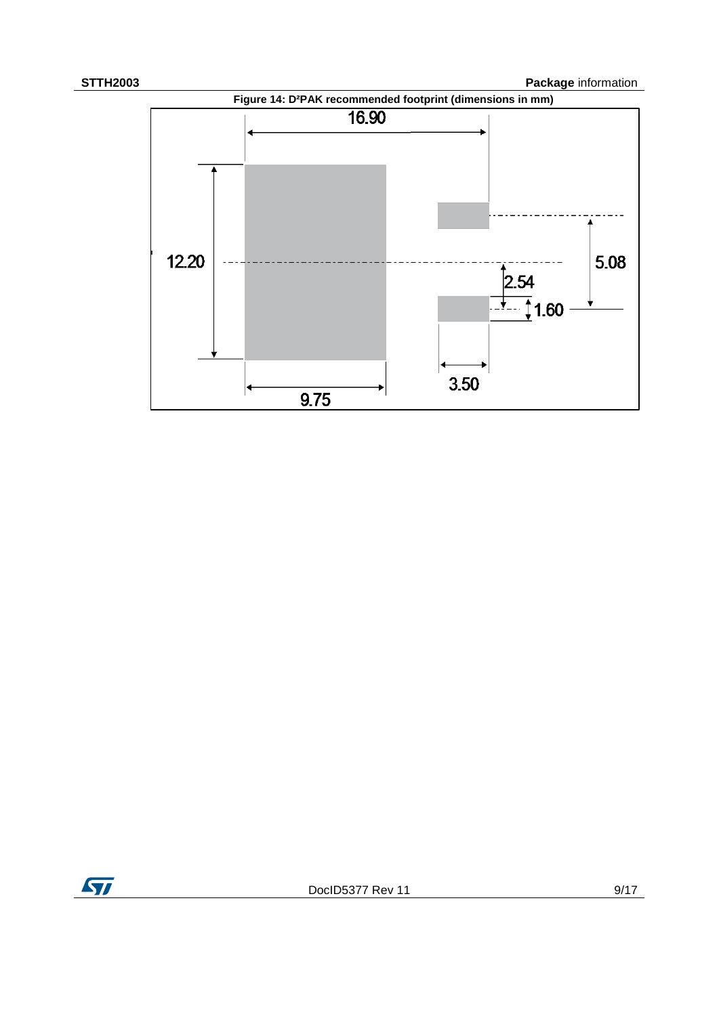

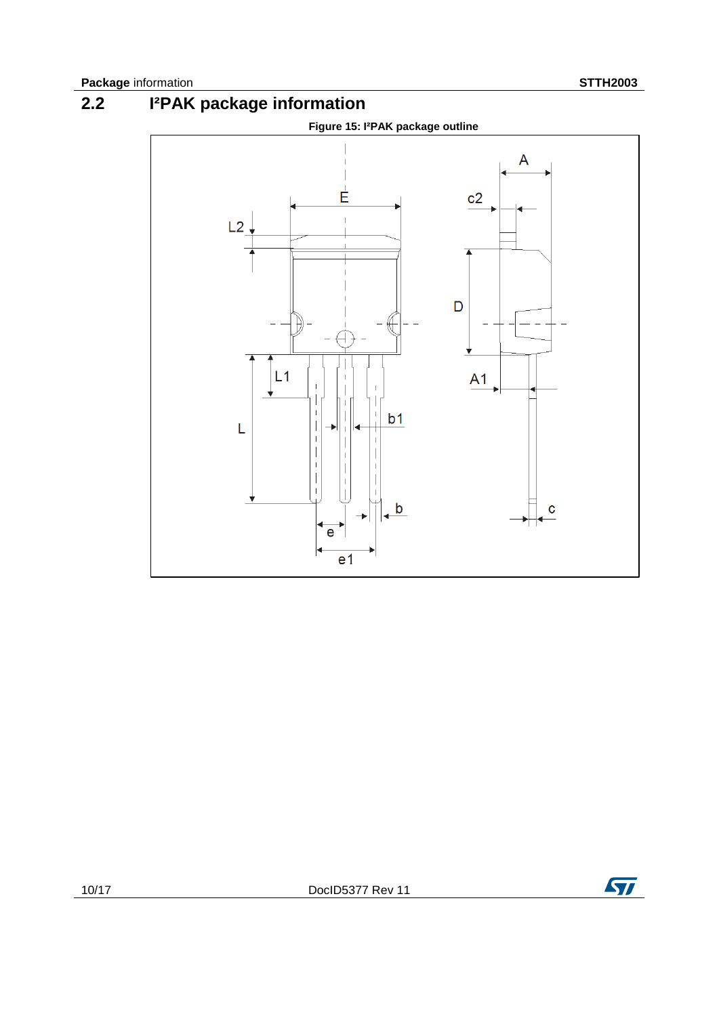**2.2 I²PAK package information**



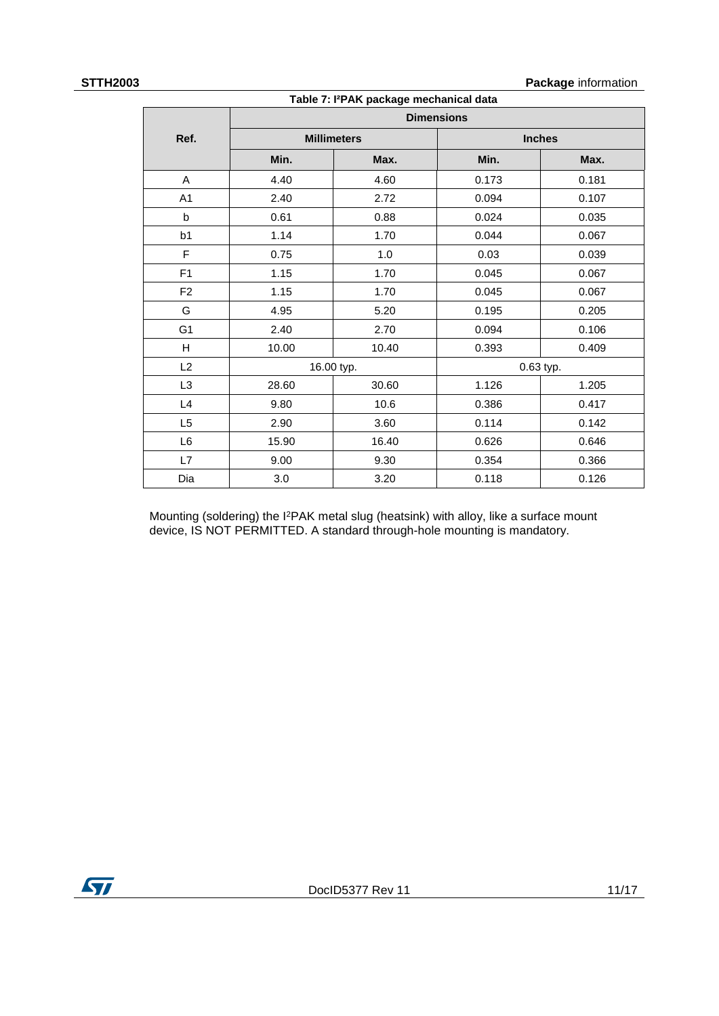**STTH2003 Package** information

| Table 7: I <sup>2</sup> PAK package mechanical data |       |                    |                   |               |  |  |
|-----------------------------------------------------|-------|--------------------|-------------------|---------------|--|--|
|                                                     |       |                    | <b>Dimensions</b> |               |  |  |
| Ref.                                                |       | <b>Millimeters</b> |                   | <b>Inches</b> |  |  |
|                                                     | Min.  | Max.               | Min.              | Max.          |  |  |
| A                                                   | 4.40  | 4.60               | 0.173             | 0.181         |  |  |
| A <sub>1</sub>                                      | 2.40  | 2.72               | 0.094             | 0.107         |  |  |
| b                                                   | 0.61  | 0.88               | 0.024             | 0.035         |  |  |
| b1                                                  | 1.14  | 1.70               | 0.044             | 0.067         |  |  |
| F                                                   | 0.75  | 1.0                | 0.03              | 0.039         |  |  |
| F1                                                  | 1.15  | 1.70               | 0.045             | 0.067         |  |  |
| F <sub>2</sub>                                      | 1.15  | 1.70               | 0.045             | 0.067         |  |  |
| G                                                   | 4.95  | 5.20               | 0.195             | 0.205         |  |  |
| G <sub>1</sub>                                      | 2.40  | 2.70               | 0.094             | 0.106         |  |  |
| H                                                   | 10.00 | 10.40              | 0.393             | 0.409         |  |  |
| L2                                                  |       | 16.00 typ.         | 0.63 typ.         |               |  |  |
| L <sub>3</sub>                                      | 28.60 | 30.60              | 1.126             | 1.205         |  |  |
| L4                                                  | 9.80  | 10.6               | 0.386             | 0.417         |  |  |
| L5                                                  | 2.90  | 3.60               | 0.114             | 0.142         |  |  |
| L6                                                  | 15.90 | 16.40              | 0.626             | 0.646         |  |  |
| L7                                                  | 9.00  | 9.30               | 0.354             | 0.366         |  |  |
| Dia                                                 | 3.0   | 3.20               | 0.118             | 0.126         |  |  |

Mounting (soldering) the I<sup>2</sup>PAK metal slug (heatsink) with alloy, like a surface mount device, IS NOT PERMITTED. A standard through-hole mounting is mandatory.

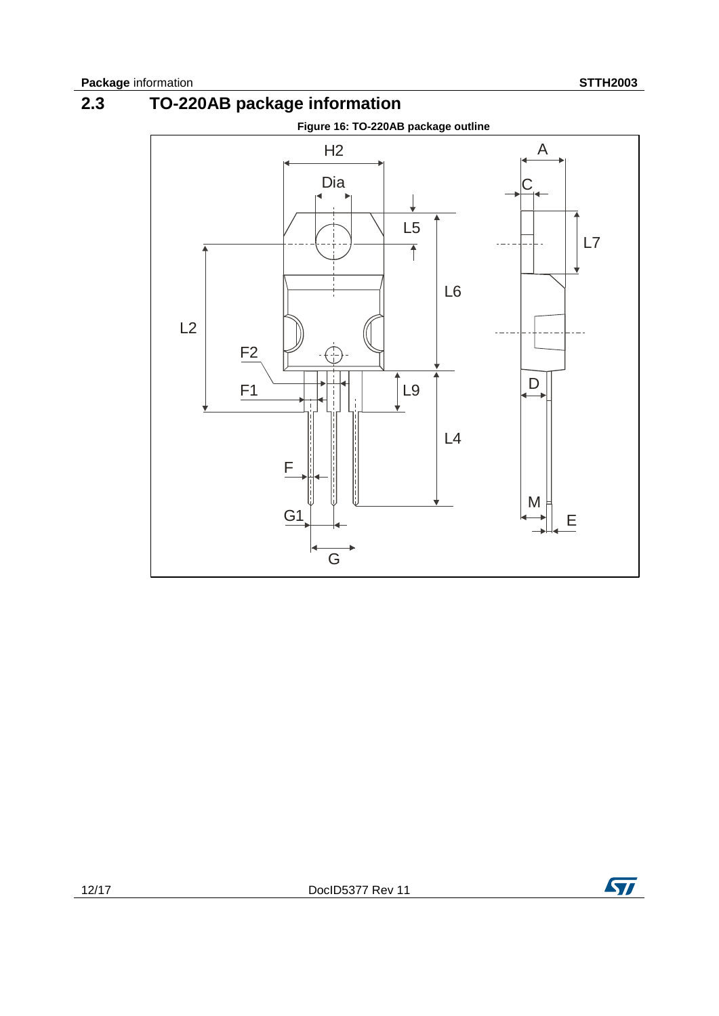



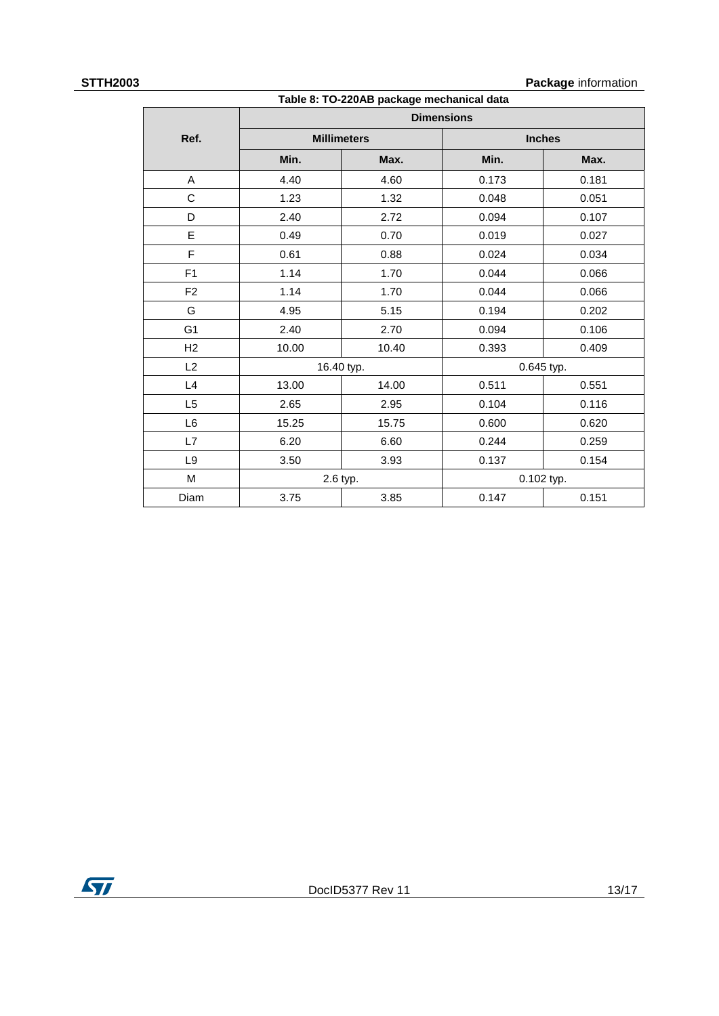### **STTH2003 Package** information

| Table 8: TO-220AB package mechanical data |       |                    |                   |            |  |  |
|-------------------------------------------|-------|--------------------|-------------------|------------|--|--|
|                                           |       |                    | <b>Dimensions</b> |            |  |  |
| Ref.                                      |       | <b>Millimeters</b> | <b>Inches</b>     |            |  |  |
|                                           | Min.  | Max.               | Min.              | Max.       |  |  |
| A                                         | 4.40  | 4.60               | 0.173             | 0.181      |  |  |
| C                                         | 1.23  | 1.32               | 0.048             | 0.051      |  |  |
| D                                         | 2.40  | 2.72               | 0.094             | 0.107      |  |  |
| E                                         | 0.49  | 0.70               | 0.019             | 0.027      |  |  |
| F                                         | 0.61  | 0.88               | 0.024             | 0.034      |  |  |
| F <sub>1</sub>                            | 1.14  | 1.70               | 0.044             | 0.066      |  |  |
| F <sub>2</sub>                            | 1.14  | 1.70               | 0.044             | 0.066      |  |  |
| G                                         | 4.95  | 5.15               | 0.194             | 0.202      |  |  |
| G <sub>1</sub>                            | 2.40  | 2.70               | 0.094             | 0.106      |  |  |
| H2                                        | 10.00 | 10.40              | 0.393             | 0.409      |  |  |
| L2                                        |       | 16.40 typ.         | 0.645 typ.        |            |  |  |
| L4                                        | 13.00 | 14.00              | 0.511             | 0.551      |  |  |
| L <sub>5</sub>                            | 2.65  | 2.95               | 0.104             | 0.116      |  |  |
| L6                                        | 15.25 | 15.75              | 0.600             | 0.620      |  |  |
| L7                                        | 6.20  | 6.60               | 0.244             | 0.259      |  |  |
| L <sub>9</sub>                            | 3.50  | 3.93               | 0.137             | 0.154      |  |  |
| M                                         |       | 2.6 typ.           |                   | 0.102 typ. |  |  |
| Diam                                      | 3.75  | 3.85               | 0.147             | 0.151      |  |  |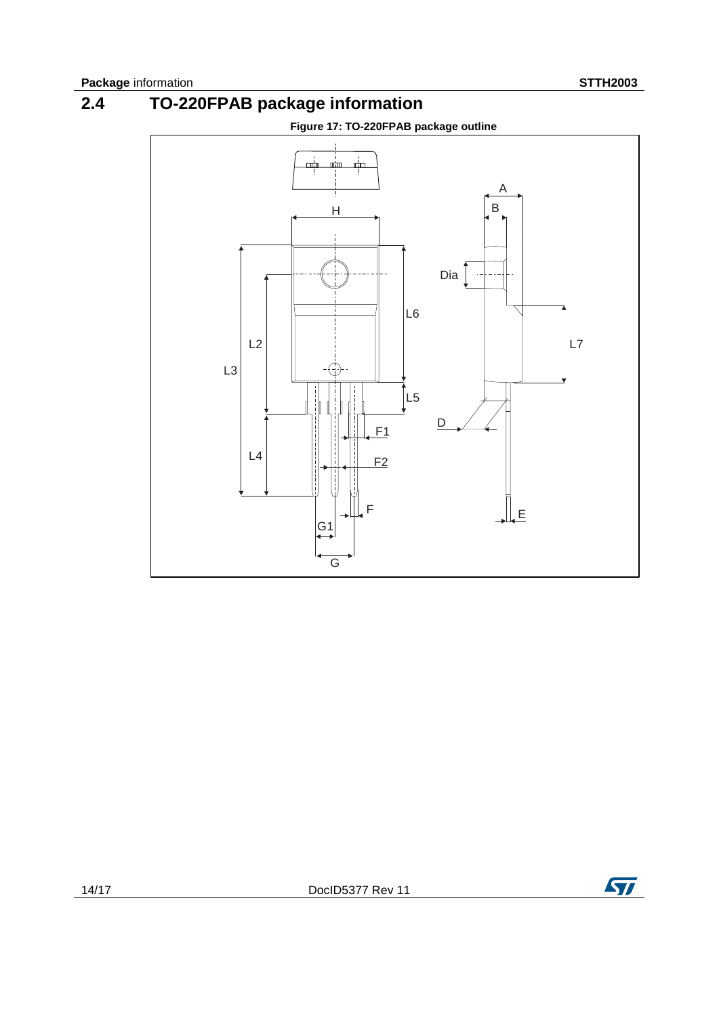



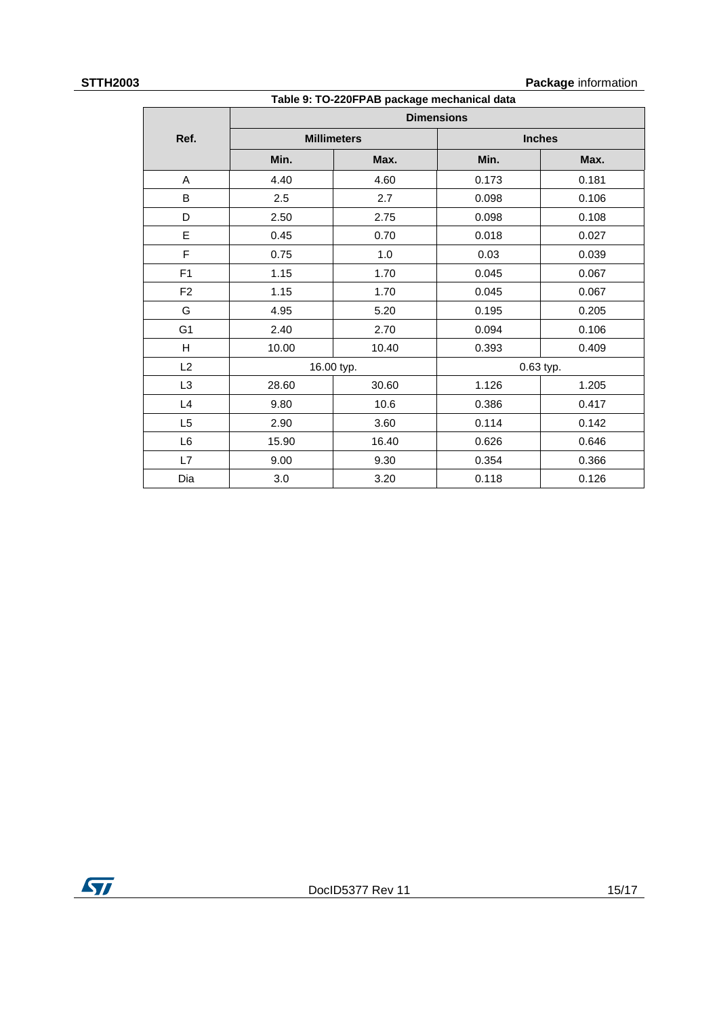### **STTH2003 Package** information

| Table 9: TO-220FPAB package mechanical data |       |                    |                   |               |  |  |
|---------------------------------------------|-------|--------------------|-------------------|---------------|--|--|
|                                             |       |                    | <b>Dimensions</b> |               |  |  |
| Ref.                                        |       | <b>Millimeters</b> |                   | <b>Inches</b> |  |  |
|                                             | Min.  | Max.               | Min.              | Max.          |  |  |
| Α                                           | 4.40  | 4.60               | 0.173             | 0.181         |  |  |
| B                                           | 2.5   | 2.7                | 0.098             | 0.106         |  |  |
| D                                           | 2.50  | 2.75               | 0.098             | 0.108         |  |  |
| E                                           | 0.45  | 0.70               | 0.018             | 0.027         |  |  |
| F                                           | 0.75  | 1.0                | 0.03              | 0.039         |  |  |
| F1                                          | 1.15  | 1.70               | 0.045             | 0.067         |  |  |
| F <sub>2</sub>                              | 1.15  | 1.70               | 0.045             | 0.067         |  |  |
| G                                           | 4.95  | 5.20               | 0.195             | 0.205         |  |  |
| G <sub>1</sub>                              | 2.40  | 2.70               | 0.094             | 0.106         |  |  |
| H                                           | 10.00 | 10.40              | 0.393             | 0.409         |  |  |
| L2                                          |       | 16.00 typ.         |                   | 0.63 typ.     |  |  |
| L <sub>3</sub>                              | 28.60 | 30.60              | 1.126             | 1.205         |  |  |
| L4                                          | 9.80  | 10.6               | 0.386             | 0.417         |  |  |
| L5                                          | 2.90  | 3.60               | 0.114             | 0.142         |  |  |
| L6                                          | 15.90 | 16.40              | 0.626             | 0.646         |  |  |
| L7                                          | 9.00  | 9.30               | 0.354             | 0.366         |  |  |
| Dia                                         | 3.0   | 3.20               | 0.118             | 0.126         |  |  |

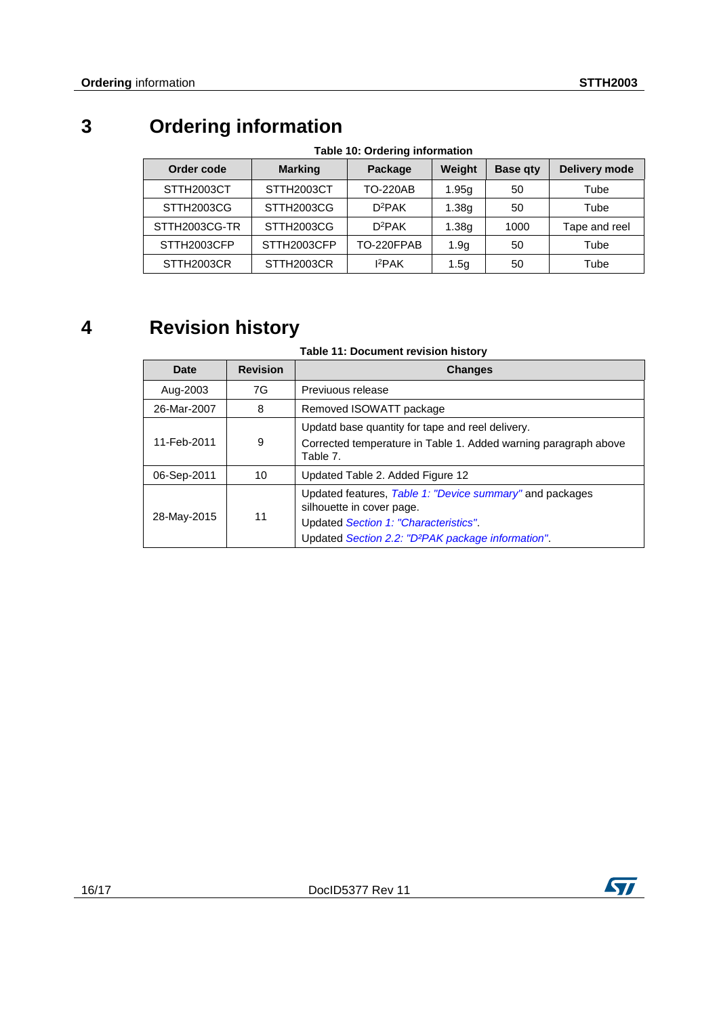# **3 Ordering information**

| <b>Hable TV: Orderling information</b> |                |                 |                   |                 |                      |  |  |
|----------------------------------------|----------------|-----------------|-------------------|-----------------|----------------------|--|--|
| Order code                             | <b>Marking</b> | Package         | Weight            | <b>Base qty</b> | <b>Delivery mode</b> |  |  |
| STTH2003CT                             | STTH2003CT     | <b>TO-220AB</b> | 1.95g             | 50              | Tube                 |  |  |
| STTH2003CG                             | STTH2003CG     | $D^2PAK$        | 1.38 <sub>q</sub> | 50              | Tube                 |  |  |
| STTH2003CG-TR                          | STTH2003CG     | $D^2PAK$        | 1.38g             | 1000            | Tape and reel        |  |  |
| STTH2003CFP                            | STTH2003CFP    | TO-220FPAB      | 1.9q              | 50              | Tube                 |  |  |
| STTH2003CR                             | STTH2003CR     | $I^2$ PAK       | 1.5 <sub>q</sub>  | 50              | Tube                 |  |  |

# **Table 10: Ordering information**

# **4 Revision history**

## **Table 11: Document revision history**

| Date        | <b>Revision</b> | <b>Changes</b>                                                                                                                                                                                   |  |
|-------------|-----------------|--------------------------------------------------------------------------------------------------------------------------------------------------------------------------------------------------|--|
| Aug-2003    | 7G              | Previuous release                                                                                                                                                                                |  |
| 26-Mar-2007 | 8               | Removed ISOWATT package                                                                                                                                                                          |  |
| 11-Feb-2011 | 9               | Updatd base quantity for tape and reel delivery.<br>Corrected temperature in Table 1. Added warning paragraph above<br>Table 7.                                                                  |  |
| 06-Sep-2011 | 10              | Updated Table 2. Added Figure 12                                                                                                                                                                 |  |
| 28-May-2015 | 11              | Updated features, Table 1: "Device summary" and packages<br>silhouette in cover page.<br>Updated Section 1: "Characteristics".<br>Updated Section 2.2: "D <sup>2</sup> PAK package information". |  |